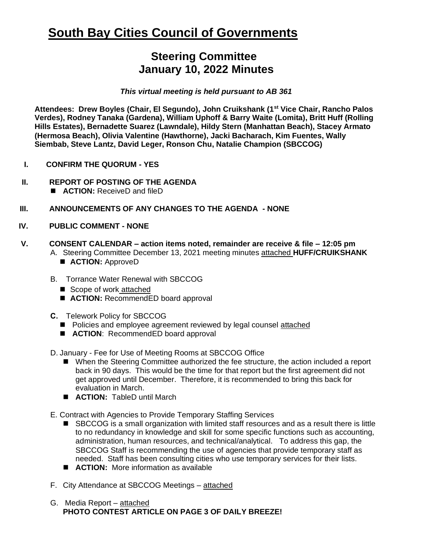## **South Bay Cities Council of Governments**

## **Steering Committee January 10, 2022 Minutes**

*This virtual meeting is held pursuant to AB 361* 

**Attendees: Drew Boyles (Chair, El Segundo), John Cruikshank (1st Vice Chair, Rancho Palos Verdes), Rodney Tanaka (Gardena), William Uphoff & Barry Waite (Lomita), Britt Huff (Rolling Hills Estates), Bernadette Suarez (Lawndale), Hildy Stern (Manhattan Beach), Stacey Armato (Hermosa Beach), Olivia Valentine (Hawthorne), Jacki Bacharach, Kim Fuentes, Wally Siembab, Steve Lantz, David Leger, Ronson Chu, Natalie Champion (SBCCOG)**

- **I. CONFIRM THE QUORUM - YES**
- **II. REPORT OF POSTING OF THE AGENDA** 
	- **ACTION:** ReceiveD and fileD
- **III. ANNOUNCEMENTS OF ANY CHANGES TO THE AGENDA - NONE**
- **IV. PUBLIC COMMENT - NONE**
- **V. CONSENT CALENDAR – action items noted, remainder are receive & file – 12:05 pm**  A. Steering Committee December 13, 2021 meeting minutes attached **HUFF/CRUIKSHANK**
	- **ACTION:** ApproveD
	- B. Torrance Water Renewal with SBCCOG
		- Scope of work attached
		- **ACTION:** RecommendED board approval
	- **C.** Telework Policy for SBCCOG
		- Policies and employee agreement reviewed by legal counsel attached
		- **ACTION**: RecommendED board approval
	- D. January Fee for Use of Meeting Rooms at SBCCOG Office
		- When the Steering Committee authorized the fee structure, the action included a report back in 90 days. This would be the time for that report but the first agreement did not get approved until December. Therefore, it is recommended to bring this back for evaluation in March.
		- **ACTION:** TableD until March

E. Contract with Agencies to Provide Temporary Staffing Services

- SBCCOG is a small organization with limited staff resources and as a result there is little to no redundancy in knowledge and skill for some specific functions such as accounting, administration, human resources, and technical/analytical. To address this gap, the SBCCOG Staff is recommending the use of agencies that provide temporary staff as needed. Staff has been consulting cities who use temporary services for their lists.
- **ACTION:** More information as available
- F. City Attendance at SBCCOG Meetings attached
- G. Media Report attached **PHOTO CONTEST ARTICLE ON PAGE 3 OF DAILY BREEZE!**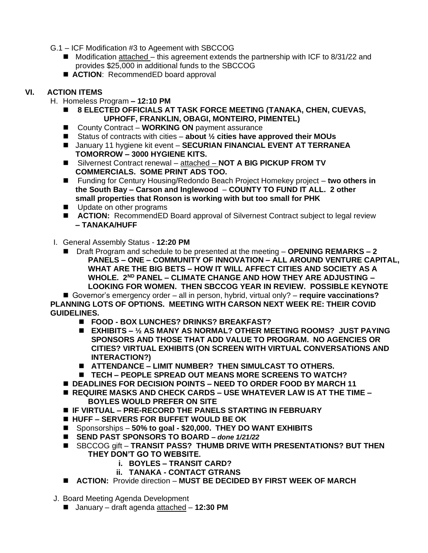- G.1 ICF Modification #3 to Ageement with SBCCOG
	- $\blacksquare$  Modification attached this agreement extends the partnership with ICF to 8/31/22 and provides \$25,000 in additional funds to the SBCCOG
	- **ACTION**: RecommendED board approval

## **VI. ACTION ITEMS**

- H. Homeless Program **– 12:10 PM**
	- ◼ **8 ELECTED OFFICIALS AT TASK FORCE MEETING (TANAKA, CHEN, CUEVAS, UPHOFF, FRANKLIN, OBAGI, MONTEIRO, PIMENTEL)**
	- County Contract **WORKING ON** payment assurance
	- Status of contracts with cities **about** 1/<sub>2</sub> cities have approved their MOUs
	- January 11 hygiene kit event **SECURIAN FINANCIAL EVENT AT TERRANEA TOMORROW – 3000 HYGIENE KITS.**
	- Silvernest Contract renewal attached **NOT A BIG PICKUP FROM TV COMMERCIALS. SOME PRINT ADS TOO.**
	- Funding for Century Housing/Redondo Beach Project Homekey project two others in **the South Bay – Carson and Inglewood** – **COUNTY TO FUND IT ALL. 2 other small properties that Ronson is working with but too small for PHK**
	- Update on other programs
	- **ACTION:** RecommendED Board approval of Silvernest Contract subject to legal review **– TANAKA/HUFF**
- I. General Assembly Status **12:20 PM** 
	- Draft Program and schedule to be presented at the meeting **OPENING REMARKS 2 PANELS – ONE – COMMUNITY OF INNOVATION – ALL AROUND VENTURE CAPITAL, WHAT ARE THE BIG BETS – HOW IT WILL AFFECT CITIES AND SOCIETY AS A WHOLE. 2ND PANEL – CLIMATE CHANGE AND HOW THEY ARE ADJUSTING – LOOKING FOR WOMEN. THEN SBCCOG YEAR IN REVIEW. POSSIBLE KEYNOTE**

■ Governor's emergency order – all in person, hybrid, virtual only? – **require vaccinations? PLANNING LOTS OF OPTIONS. MEETING WITH CARSON NEXT WEEK RE: THEIR COVID GUIDELINES.** 

- ◼ **FOOD - BOX LUNCHES? DRINKS? BREAKFAST?**
- ◼ **EXHIBITS – ½ AS MANY AS NORMAL? OTHER MEETING ROOMS? JUST PAYING SPONSORS AND THOSE THAT ADD VALUE TO PROGRAM. NO AGENCIES OR CITIES? VIRTUAL EXHIBITS (ON SCREEN WITH VIRTUAL CONVERSATIONS AND INTERACTION?)**
- ◼ **ATTENDANCE – LIMIT NUMBER? THEN SIMULCAST TO OTHERS.**
- ◼ **TECH – PEOPLE SPREAD OUT MEANS MORE SCREENS TO WATCH?**
- **DEADLINES FOR DECISION POINTS NEED TO ORDER FOOD BY MARCH 11**
- ◼ **REQUIRE MASKS AND CHECK CARDS – USE WHATEVER LAW IS AT THE TIME – BOYLES WOULD PREFER ON SITE**
- ◼ **IF VIRTUAL – PRE-RECORD THE PANELS STARTING IN FEBRUARY**
- ◼ **HUFF – SERVERS FOR BUFFET WOULD BE OK**
- ◼ Sponsorships **50% to goal - \$20,000. THEY DO WANT EXHIBITS**
- ◼ **SEND PAST SPONSORS TO BOARD** *– done 1/21/22*
- SBCCOG gift **TRANSIT PASS? THUMB DRIVE WITH PRESENTATIONS? BUT THEN THEY DON'T GO TO WEBSITE.**
	- **i. BOYLES – TRANSIT CARD?**
	- **ii. TANAKA - CONTACT GTRANS**
- **ACTION:** Provide direction **MUST BE DECIDED BY FIRST WEEK OF MARCH**
- J. Board Meeting Agenda Development
	- January draft agenda attached **12:30 PM**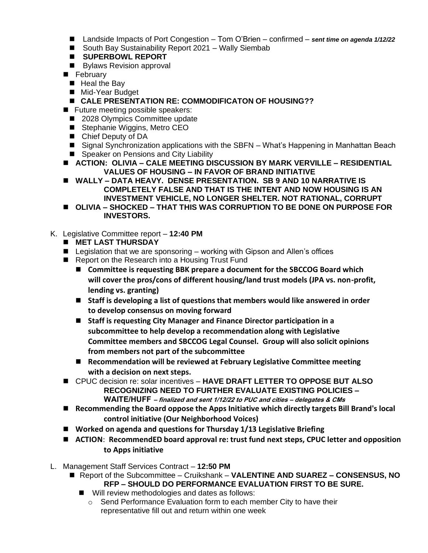- Landside Impacts of Port Congestion Tom O'Brien confirmed *sent time on agenda 1/12/22*
- South Bay Sustainability Report 2021 Wally Siembab
- ◼ **SUPERBOWL REPORT**
- Bylaws Revision approval
- February
	- Heal the Bay
	- Mid-Year Budget
	- CALE PRESENTATION RE: COMMODIFICATON OF HOUSING??
- Future meeting possible speakers:
	- 2028 Olympics Committee update
	- Stephanie Wiggins, Metro CEO
	- Chief Deputy of DA
	- Signal Synchronization applications with the SBFN What's Happening in Manhattan Beach
	- Speaker on Pensions and City Liability
- ◼ **ACTION: OLIVIA – CALE MEETING DISCUSSION BY MARK VERVILLE – RESIDENTIAL VALUES OF HOUSING – IN FAVOR OF BRAND INITIATIVE**
- ◼ **WALLY – DATA HEAVY. DENSE PRESENTATION. SB 9 AND 10 NARRATIVE IS COMPLETELY FALSE AND THAT IS THE INTENT AND NOW HOUSING IS AN INVESTMENT VEHICLE, NO LONGER SHELTER. NOT RATIONAL, CORRUPT**
- ◼ **OLIVIA – SHOCKED – THAT THIS WAS CORRUPTION TO BE DONE ON PURPOSE FOR INVESTORS.**
- K. Legislative Committee report **12:40 PM**
	- ◼ **MET LAST THURSDAY**
	- Legislation that we are sponsoring working with Gipson and Allen's offices
	- Report on the Research into a Housing Trust Fund
		- Committee is requesting BBK prepare a document for the SBCCOG Board which **will cover the pros/cons of different housing/land trust models (JPA vs. non-profit, lending vs. granting)**
		- Staff is developing a list of questions that members would like answered in order **to develop consensus on moving forward**
		- Staff is requesting City Manager and Finance Director participation in a **subcommittee to help develop a recommendation along with Legislative Committee members and SBCCOG Legal Counsel. Group will also solicit opinions from members not part of the subcommittee**
		- Recommendation will be reviewed at February Legislative Committee meeting **with a decision on next steps.**
	- ◼ CPUC decision re: solar incentives **HAVE DRAFT LETTER TO OPPOSE BUT ALSO RECOGNIZING NEED TO FURTHER EVALUATE EXISTING POLICIES – WAITE/HUFF – finalized and sent 1/12/22 to PUC and cities – delegates & CMs**
	- Recommending the Board oppose the Apps Initiative which directly targets Bill Brand's local **control initiative (Our Neighborhood Voices)**
	- Worked on agenda and questions for Thursday 1/13 Legislative Briefing
	- ACTION: RecommendED board approval re: trust fund next steps, CPUC letter and opposition **to Apps initiative**
- L. Management Staff Services Contract **12:50 PM**
	- Report of the Subcommittee Cruikshank VALENTINE AND SUAREZ CONSENSUS, NO **RFP – SHOULD DO PERFORMANCE EVALUATION FIRST TO BE SURE.**
		- Will review methodologies and dates as follows:
			- o Send Performance Evaluation form to each member City to have their representative fill out and return within one week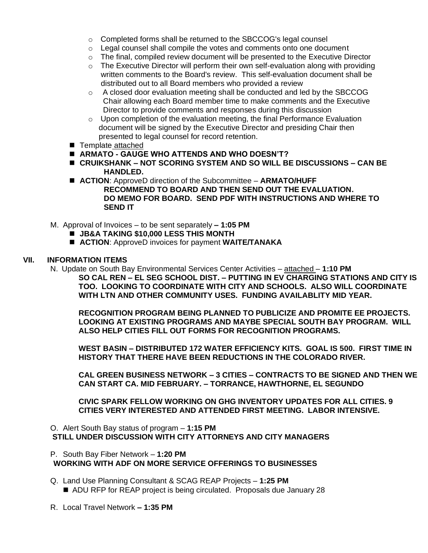- o Completed forms shall be returned to the SBCCOG's legal counsel
- o Legal counsel shall compile the votes and comments onto one document
- $\circ$  The final, compiled review document will be presented to the Executive Director
- o The Executive Director will perform their own self-evaluation along with providing written comments to the Board's review. This self-evaluation document shall be distributed out to all Board members who provided a review
- o A closed door evaluation meeting shall be conducted and led by the SBCCOG Chair allowing each Board member time to make comments and the Executive Director to provide comments and responses during this discussion
- $\circ$  Upon completion of the evaluation meeting, the final Performance Evaluation document will be signed by the Executive Director and presiding Chair then presented to legal counsel for record retention.
- Template attached
- **ARMATO GAUGE WHO ATTENDS AND WHO DOESN'T?**
- ◼ **CRUIKSHANK – NOT SCORING SYSTEM AND SO WILL BE DISCUSSIONS – CAN BE HANDLED.**
- **ACTION:** ApproveD direction of the Subcommittee **ARMATO/HUFF RECOMMEND TO BOARD AND THEN SEND OUT THE EVALUATION. DO MEMO FOR BOARD. SEND PDF WITH INSTRUCTIONS AND WHERE TO SEND IT**
- M. Approval of Invoices to be sent separately **– 1:05 PM** 
	- ◼ **JB&A TAKING \$10,000 LESS THIS MONTH**
	- **ACTION**: ApproveD invoices for payment **WAITE/TANAKA**

## **VII. INFORMATION ITEMS**

N. Update on South Bay Environmental Services Center Activities – attached – **1:10 PM SO CAL REN – EL SEG SCHOOL DIST. – PUTTING IN EV CHARGING STATIONS AND CITY IS TOO. LOOKING TO COORDINATE WITH CITY AND SCHOOLS. ALSO WILL COORDINATE WITH LTN AND OTHER COMMUNITY USES. FUNDING AVAILABLITY MID YEAR.**

**RECOGNITION PROGRAM BEING PLANNED TO PUBLICIZE AND PROMITE EE PROJECTS. LOOKING AT EXISTING PROGRAMS AND MAYBE SPECIAL SOUTH BAY PROGRAM. WILL ALSO HELP CITIES FILL OUT FORMS FOR RECOGNITION PROGRAMS.**

**WEST BASIN – DISTRIBUTED 172 WATER EFFICIENCY KITS. GOAL IS 500. FIRST TIME IN HISTORY THAT THERE HAVE BEEN REDUCTIONS IN THE COLORADO RIVER.**

**CAL GREEN BUSINESS NETWORK – 3 CITIES – CONTRACTS TO BE SIGNED AND THEN WE CAN START CA. MID FEBRUARY. – TORRANCE, HAWTHORNE, EL SEGUNDO**

**CIVIC SPARK FELLOW WORKING ON GHG INVENTORY UPDATES FOR ALL CITIES. 9 CITIES VERY INTERESTED AND ATTENDED FIRST MEETING. LABOR INTENSIVE.**

O. Alert South Bay status of program – **1:15 PM STILL UNDER DISCUSSION WITH CITY ATTORNEYS AND CITY MANAGERS**

- P. South Bay Fiber Network **1:20 PM WORKING WITH ADF ON MORE SERVICE OFFERINGS TO BUSINESSES**
- Q. Land Use Planning Consultant & SCAG REAP Projects **1:25 PM** ■ ADU RFP for REAP project is being circulated. Proposals due January 28
- R. Local Travel Network **– 1:35 PM**